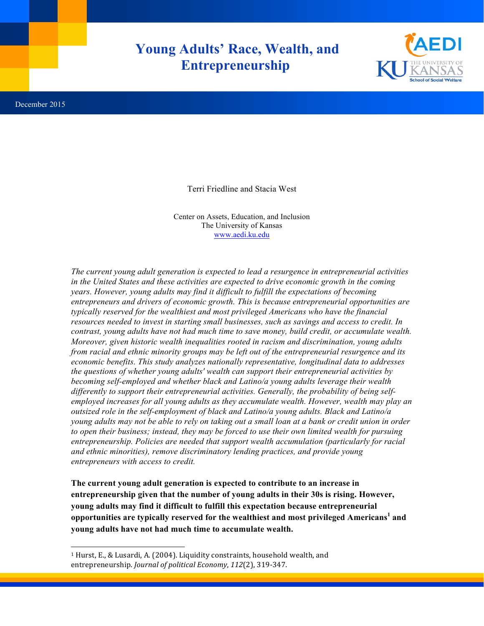## **Young Adults' Race, Wealth, and Entrepreneurship**



 $\overline{a}$ 

Terri Friedline and Stacia West

Center on Assets, Education, and Inclusion The University of Kansas www.aedi.ku.edu

*The current young adult generation is expected to lead a resurgence in entrepreneurial activities in the United States and these activities are expected to drive economic growth in the coming years. However, young adults may find it difficult to fulfill the expectations of becoming entrepreneurs and drivers of economic growth. This is because entrepreneurial opportunities are typically reserved for the wealthiest and most privileged Americans who have the financial resources needed to invest in starting small businesses, such as savings and access to credit. In contrast, young adults have not had much time to save money, build credit, or accumulate wealth. Moreover, given historic wealth inequalities rooted in racism and discrimination, young adults from racial and ethnic minority groups may be left out of the entrepreneurial resurgence and its economic benefits. This study analyzes nationally representative, longitudinal data to addresses the questions of whether young adults' wealth can support their entrepreneurial activities by becoming self-employed and whether black and Latino/a young adults leverage their wealth differently to support their entrepreneurial activities. Generally, the probability of being selfemployed increases for all young adults as they accumulate wealth. However, wealth may play an outsized role in the self-employment of black and Latino/a young adults. Black and Latino/a young adults may not be able to rely on taking out a small loan at a bank or credit union in order to open their business; instead, they may be forced to use their own limited wealth for pursuing entrepreneurship. Policies are needed that support wealth accumulation (particularly for racial and ethnic minorities), remove discriminatory lending practices, and provide young entrepreneurs with access to credit.*

**The current young adult generation is expected to contribute to an increase in entrepreneurship given that the number of young adults in their 30s is rising. However, young adults may find it difficult to fulfill this expectation because entrepreneurial opportunities are typically reserved for the wealthiest and most privileged Americans<sup>1</sup> and young adults have not had much time to accumulate wealth.**

<sup>&</sup>lt;sup>1</sup> Hurst, E., & Lusardi, A. (2004). Liquidity constraints, household wealth, and entrepreneurship. *Journal of political Economy*, 112(2), 319-347.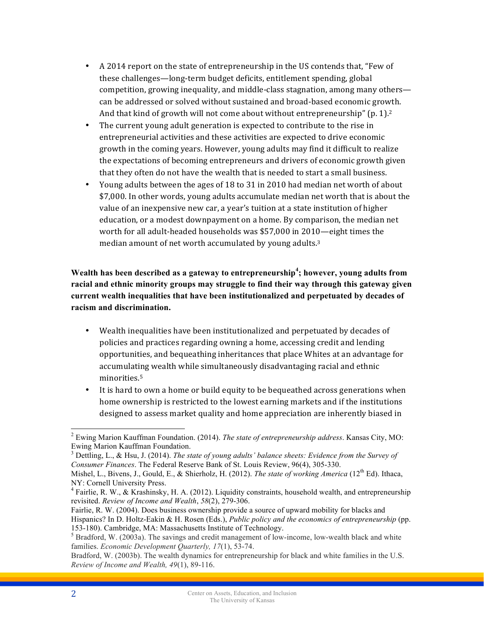- A 2014 report on the state of entrepreneurship in the US contends that, "Few of these challenges—long-term budget deficits, entitlement spending, global competition, growing inequality, and middle-class stagnation, among many others can be addressed or solved without sustained and broad-based economic growth. And that kind of growth will not come about without entrepreneurship" (p. 1).<sup>2</sup>
- The current young adult generation is expected to contribute to the rise in entrepreneurial activities and these activities are expected to drive economic growth in the coming years. However, young adults may find it difficult to realize the expectations of becoming entrepreneurs and drivers of economic growth given that they often do not have the wealth that is needed to start a small business.
- Young adults between the ages of 18 to 31 in 2010 had median net worth of about \$7,000. In other words, young adults accumulate median net worth that is about the value of an inexpensive new car, a year's tuition at a state institution of higher education, or a modest downpayment on a home. By comparison, the median net worth for all adult-headed households was \$57,000 in 2010—eight times the median amount of net worth accumulated by young adults.<sup>3</sup>

**Wealth has been described as a gateway to entrepreneurship<sup>4</sup> ; however, young adults from racial and ethnic minority groups may struggle to find their way through this gateway given current wealth inequalities that have been institutionalized and perpetuated by decades of racism and discrimination.**

- Wealth inequalities have been institutionalized and perpetuated by decades of policies and practices regarding owning a home, accessing credit and lending opportunities, and bequeathing inheritances that place Whites at an advantage for accumulating wealth while simultaneously disadvantaging racial and ethnic minorities. 5
- It is hard to own a home or build equity to be bequeathed across generations when home ownership is restricted to the lowest earning markets and if the institutions designed to assess market quality and home appreciation are inherently biased in

 <sup>2</sup> Ewing Marion Kauffman Foundation. (2014). *The state of entrepreneurship address*. Kansas City, MO: Ewing Marion Kauffman Foundation.<br><sup>3</sup> Dettling, L., & Hsu, J. (2014). *The state of young adults' balance sheets: Evidence from the Survey of* 

*Consumer Finances*. The Federal Reserve Bank of St. Louis Review, 96(4), 305-330.

Mishel, L., Bivens, J., Gould, E., & Shierholz, H. (2012). *The state of working America* (12<sup>th</sup> Ed). Ithaca, NY: Cornell University Press.

<sup>&</sup>lt;sup>4</sup> Fairlie, R. W., & Krashinsky, H. A. (2012). Liquidity constraints, household wealth, and entrepreneurship revisited. *Review of Income and Wealth*, *58*(2), 279-306.

Fairlie, R. W. (2004). Does business ownership provide a source of upward mobility for blacks and Hispanics? In D. Holtz-Eakin & H. Rosen (Eds.), *Public policy and the economics of entrepreneurship* (pp.

<sup>153-180).</sup> Cambridge, MA: Massachusetts Institute of Technology. <sup>5</sup> Bradford, W. (2003a). The savings and credit management of low-income, low-wealth black and white families. *Economic Development Quarterly, 17*(1), 53-74.

Bradford, W. (2003b). The wealth dynamics for entrepreneurship for black and white families in the U.S. *Review of Income and Wealth, 49*(1), 89-116.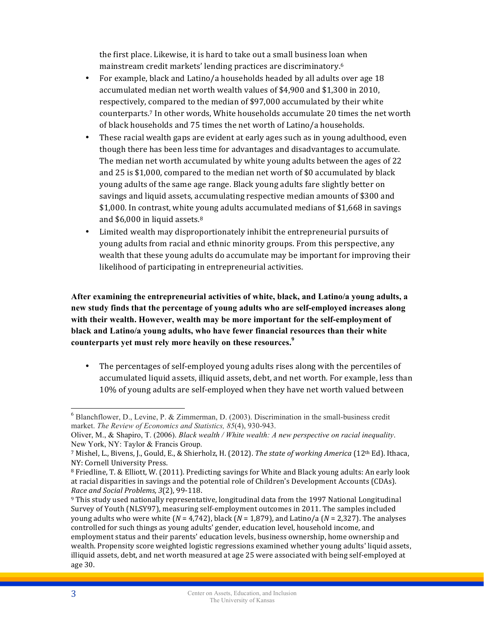the first place. Likewise, it is hard to take out a small business loan when mainstream credit markets' lending practices are discriminatory.<sup>6</sup>

- For example, black and Latino/a households headed by all adults over age 18 accumulated median net worth wealth values of \$4,900 and \$1,300 in 2010, respectively, compared to the median of \$97,000 accumulated by their white counterparts.<sup>7</sup> In other words, White households accumulate 20 times the net worth of black households and 75 times the net worth of Latino/a households.
- These racial wealth gaps are evident at early ages such as in young adulthood, even though there has been less time for advantages and disadvantages to accumulate. The median net worth accumulated by white young adults between the ages of 22 and  $25$  is \$1,000, compared to the median net worth of \$0 accumulated by black young adults of the same age range. Black young adults fare slightly better on savings and liquid assets, accumulating respective median amounts of \$300 and \$1,000. In contrast, white young adults accumulated medians of \$1,668 in savings and  $$6,000$  in liquid assets.<sup>8</sup>
- Limited wealth may disproportionately inhibit the entrepreneurial pursuits of young adults from racial and ethnic minority groups. From this perspective, any wealth that these young adults do accumulate may be important for improving their likelihood of participating in entrepreneurial activities.

**After examining the entrepreneurial activities of white, black, and Latino/a young adults, a new study finds that the percentage of young adults who are self-employed increases along with their wealth. However, wealth may be more important for the self-employment of black and Latino/a young adults, who have fewer financial resources than their white counterparts yet must rely more heavily on these resources. 9**

• The percentages of self-employed young adults rises along with the percentiles of accumulated liquid assets, illiquid assets, debt, and net worth. For example, less than 10% of young adults are self-employed when they have net worth valued between

 $6$  Blanchflower, D., Levine, P. & Zimmerman, D. (2003). Discrimination in the small-business credit market. *The Review of Economics and Statistics, 85*(4), 930-943.

Oliver, M., & Shapiro, T. (2006). *Black wealth / White wealth: A new perspective on racial inequality*. New York, NY: Taylor & Francis Group.

<sup>&</sup>lt;sup>7</sup> Mishel, L., Bivens, J., Gould, E., & Shierholz, H. (2012). *The state of working America* (12<sup>th</sup> Ed). Ithaca, NY: Cornell University Press.

 $8$  Friedline, T. & Elliott, W. (2011). Predicting savings for White and Black young adults: An early look at racial disparities in savings and the potential role of Children's Development Accounts (CDAs). *Race and Social Problems, 3*(2), 99-118.

 $9$  This study used nationally representative, longitudinal data from the 1997 National Longitudinal Survey of Youth (NLSY97), measuring self-employment outcomes in 2011. The samples included young adults who were white ( $N = 4,742$ ), black ( $N = 1,879$ ), and Latino/a ( $N = 2,327$ ). The analyses controlled for such things as young adults' gender, education level, household income, and employment status and their parents' education levels, business ownership, home ownership and wealth. Propensity score weighted logistic regressions examined whether young adults' liquid assets, illiquid assets, debt, and net worth measured at age 25 were associated with being self-employed at age 30.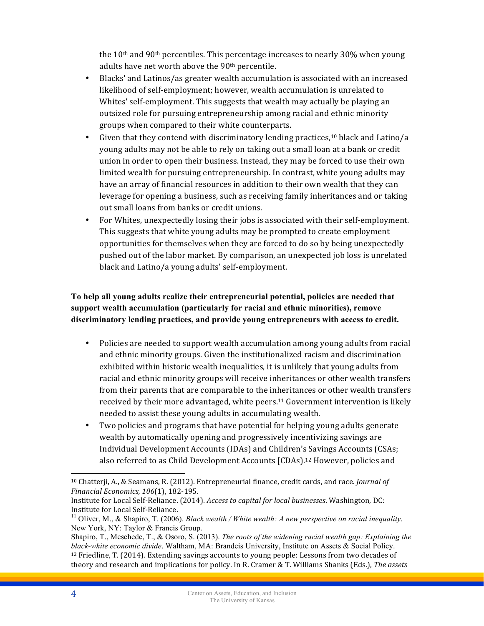the  $10<sup>th</sup>$  and  $90<sup>th</sup>$  percentiles. This percentage increases to nearly 30% when young adults have net worth above the  $90<sup>th</sup>$  percentile.

- Blacks' and Latinos/as greater wealth accumulation is associated with an increased likelihood of self-employment; however, wealth accumulation is unrelated to Whites' self-employment. This suggests that wealth may actually be playing an outsized role for pursuing entrepreneurship among racial and ethnic minority groups when compared to their white counterparts.
- Given that they contend with discriminatory lending practices,<sup>10</sup> black and Latino/a young adults may not be able to rely on taking out a small loan at a bank or credit union in order to open their business. Instead, they may be forced to use their own limited wealth for pursuing entrepreneurship. In contrast, white young adults may have an array of financial resources in addition to their own wealth that they can leverage for opening a business, such as receiving family inheritances and or taking out small loans from banks or credit unions.
- For Whites, unexpectedly losing their jobs is associated with their self-employment. This suggests that white young adults may be prompted to create employment opportunities for themselves when they are forced to do so by being unexpectedly pushed out of the labor market. By comparison, an unexpected job loss is unrelated black and Latino/a young adults' self-employment.

## **To help all young adults realize their entrepreneurial potential, policies are needed that support wealth accumulation (particularly for racial and ethnic minorities), remove discriminatory lending practices, and provide young entrepreneurs with access to credit.**

- Policies are needed to support wealth accumulation among young adults from racial and ethnic minority groups. Given the institutionalized racism and discrimination exhibited within historic wealth inequalities, it is unlikely that young adults from racial and ethnic minority groups will receive inheritances or other wealth transfers from their parents that are comparable to the inheritances or other wealth transfers received by their more advantaged, white peers.<sup>11</sup> Government intervention is likely needed to assist these young adults in accumulating wealth.
- Two policies and programs that have potential for helping young adults generate wealth by automatically opening and progressively incentivizing savings are Individual Development Accounts (IDAs) and Children's Savings Accounts (CSAs; also referred to as Child Development Accounts [CDAs].<sup>12</sup> However, policies and

 $\overline{a}$ 

 $10$  Chatterji, A., & Seamans, R. (2012). Entrepreneurial finance, credit cards, and race. *Journal of Financial Economics, 106*(1), 182-195.

Institute for Local Self-Reliance. (2014). *Access to capital for local businesses*. Washington, DC: Institute for Local Self-Reliance.<br><sup>11</sup> Oliver, M., & Shapiro, T. (2006). *Black wealth / White wealth: A new perspective on racial inequality*.

New York, NY: Taylor & Francis Group.

Shapiro, T., Meschede, T., & Osoro, S. (2013). *The roots of the widening racial wealth gap: Explaining the black-white economic divide*. Waltham, MA: Brandeis University, Institute on Assets & Social Policy.  $12$  Friedline, T. (2014). Extending savings accounts to young people: Lessons from two decades of theory and research and implications for policy. In R. Cramer & T. Williams Shanks (Eds.), *The assets*